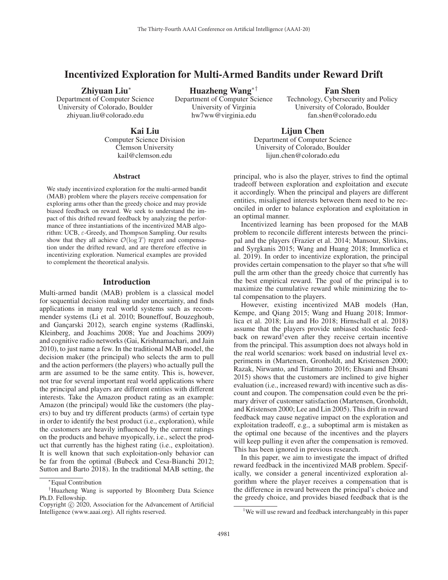# Incentivized Exploration for Multi-Armed Bandits under Reward Drift

### Zhiyuan Liu<sup>∗</sup>

Department of Computer Science University of Colorado, Boulder zhiyuan.liu@colorado.edu

Huazheng Wang∗† Department of Computer Science University of Virginia hw7ww@virginia.edu

Fan Shen

Technology, Cybersecurity and Policy University of Colorado, Boulder fan.shen@colorado.edu

Kai Liu Computer Science Division Clemson University kail@clemson.edu

Lijun Chen Department of Computer Science University of Colorado, Boulder lijun.chen@colorado.edu

### Abstract

We study incentivized exploration for the multi-armed bandit (MAB) problem where the players receive compensation for exploring arms other than the greedy choice and may provide biased feedback on reward. We seek to understand the impact of this drifted reward feedback by analyzing the performance of three instantiations of the incentivized MAB algorithm: UCB, ε-Greedy, and Thompson Sampling. Our results show that they all achieve  $\mathcal{O}(\log T)$  regret and compensation under the drifted reward, and are therefore effective in incentivizing exploration. Numerical examples are provided to complement the theoretical analysis.

### Introduction

Multi-armed bandit (MAB) problem is a classical model for sequential decision making under uncertainty, and finds applications in many real world systems such as recommender systems (Li et al. 2010; Bouneffouf, Bouzeghoub, and Gançarski 2012), search engine systems (Radlinski, Kleinberg, and Joachims 2008; Yue and Joachims 2009) and cognitive radio networks (Gai, Krishnamachari, and Jain 2010), to just name a few. In the traditional MAB model, the decision maker (the principal) who selects the arm to pull and the action performers (the players) who actually pull the arm are assumed to be the same entity. This is, however, not true for several important real world applications where the principal and players are different entities with different interests. Take the Amazon product rating as an example: Amazon (the principal) would like the customers (the players) to buy and try different products (arms) of certain type in order to identify the best product (i.e., exploration), while the customers are heavily influenced by the current ratings on the products and behave myopically, i.e., select the product that currently has the highest rating (i.e., exploitation). It is well known that such exploitation-only behavior can be far from the optimal (Bubeck and Cesa-Bianchi 2012; Sutton and Barto 2018). In the traditional MAB setting, the

principal, who is also the player, strives to find the optimal tradeoff between exploration and exploitation and execute it accordingly. When the principal and players are different entities, misaligned interests between them need to be reconciled in order to balance exploration and exploitation in an optimal manner.

Incentivized learning has been proposed for the MAB problem to reconcile different interests between the principal and the players (Frazier et al. 2014; Mansour, Slivkins, and Syrgkanis 2015; Wang and Huang 2018; Immorlica et al. 2019). In order to incentivize exploration, the principal provides certain compensation to the player so that s/he will pull the arm other than the greedy choice that currently has the best empirical reward. The goal of the principal is to maximize the cumulative reward while minimizing the total compensation to the players.

However, existing incentivized MAB models (Han, Kempe, and Qiang 2015; Wang and Huang 2018; Immorlica et al. 2018; Liu and Ho 2018; Hirnschall et al. 2018) assume that the players provide unbiased stochastic feedback on reward<sup>1</sup>even after they receive certain incentive from the principal. This assumption does not always hold in the real world scenarios: work based on industrial level experiments in (Martensen, Gronholdt, and Kristensen 2000; Razak, Nirwanto, and Triatmanto 2016; Ehsani and Ehsani 2015) shows that the customers are inclined to give higher evaluation (i.e., increased reward) with incentive such as discount and coupon. The compensation could even be the primary driver of customer satisfaction (Martensen, Gronholdt, and Kristensen 2000; Lee and Lin 2005). This drift in reward feedback may cause negative impact on the exploration and exploitation tradeoff, e.g., a suboptimal arm is mistaken as the optimal one because of the incentives and the players will keep pulling it even after the compensation is removed. This has been ignored in previous research.

In this paper, we aim to investigate the impact of drifted reward feedback in the incentivized MAB problem. Specifically, we consider a general incentivized exploration algorithm where the player receives a compensation that is the difference in reward between the principal's choice and the greedy choice, and provides biased feedback that is the

<sup>∗</sup>Equal Contribution

<sup>†</sup>Huazheng Wang is supported by Bloomberg Data Science Ph.D. Fellowship.

Copyright  $\odot$  2020, Association for the Advancement of Artificial Intelligence (www.aaai.org). All rights reserved.

<sup>&</sup>lt;sup>1</sup>We will use reward and feedback interchangeably in this paper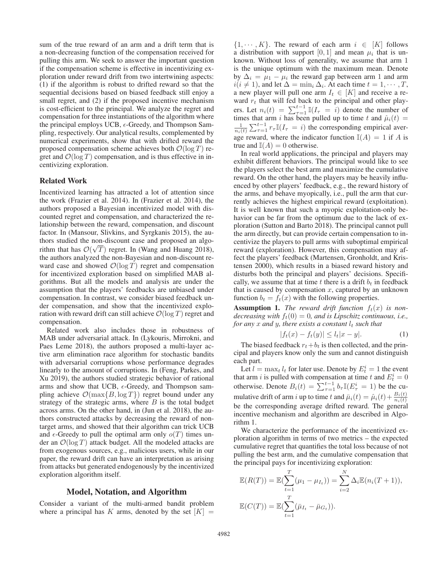sum of the true reward of an arm and a drift term that is a non-decreasing function of the compensation received for pulling this arm. We seek to answer the important question if the compensation scheme is effective in incentivizing exploration under reward drift from two intertwining aspects: (1) if the algorithm is robust to drifted reward so that the sequential decisions based on biased feedback still enjoy a small regret, and (2) if the proposed incentive mechanism is cost-efficient to the principal. We analyze the regret and compensation for three instantiations of the algorithm where the principal employs UCB,  $\epsilon$ -Greedy, and Thompson Sam-<br>pling respectively Our analytical results complemented by pling, respectively. Our analytical results, complemented by numerical experiments, show that with drifted reward the proposed compensation scheme achieves both  $\mathcal{O}(\log T)$  regret and  $\mathcal{O}(\log T)$  compensation, and is thus effective in incentivizing exploration.

## Related Work

Incentivized learning has attracted a lot of attention since the work (Frazier et al. 2014). In (Frazier et al. 2014), the authors proposed a Bayesian incentivized model with discounted regret and compensation, and characterized the relationship between the reward, compensation, and discount factor. In (Mansour, Slivkins, and Syrgkanis 2015), the authors studied the non-discount case and proposed an algorithm that has  $\mathcal{O}(\sqrt{T})$  regret. In (Wang and Huang 2018), the authors analyzed the non-Bayesian and non-discount rethe authors analyzed the non-Bayesian and non-discount reward case and showed  $\mathcal{O}(\log T)$  regret and compensation for incentivized exploration based on simplified MAB algorithms. But all the models and analysis are under the assumption that the players' feedbacks are unbiased under compensation. In contrast, we consider biased feedback under compensation, and show that the incentivized exploration with reward drift can still achieve  $\mathcal{O}(\log T)$  regret and compensation.

Related work also includes those in robustness of MAB under adversarial attack. In (Lykouris, Mirrokni, and Paes Leme 2018), the authors proposed a multi-layer active arm elimination race algorithm for stochastic bandits with adversarial corruptions whose performance degrades linearly to the amount of corruptions. In (Feng, Parkes, and Xu 2019), the authors studied strategic behavior of rational arms and show that UCB,  $\epsilon$ -Greedy, and Thompson sam-<br>pling achieve  $\mathcal{O}(\max\{B \log T\})$  regret bound under any pling achieve  $\mathcal{O}(\max\{B, \log T\})$  regret bound under any strategy of the strategic arms, where  $B$  is the total budget across arms. On the other hand, in (Jun et al. 2018), the authors constructed attacks by decreasing the reward of nontarget arms, and showed that their algorithm can trick UCB and  $\epsilon$ -Greedy to pull the optimal arm only  $o(T)$  times under an  $O(\log T)$  attack budget. All the modeled attacks are der an  $\mathcal{O}(\log T)$  attack budget. All the modeled attacks are from exogenous sources, e.g., malicious users, while in our paper, the reward drift can have an interpretation as arising from attacks but generated endogenously by the incentivized exploration algorithm itself.

## Model, Notation, and Algorithm

Consider a variant of the multi-armed bandit problem where a principal has K arms, denoted by the set  $[K] =$ 

 $\{1, \dots, K\}$ . The reward of each arm  $i \in [K]$  follows a distribution with support [0, 1] and mean  $\mu_i$  that is unknown. Without loss of generality, we assume that arm 1 is the unique optimum with the maximum mean. Denote by  $\Delta_i = \mu_1 - \mu_i$  the reward gap between arm 1 and arm  $i(i \neq 1)$ , and let  $\Delta = \min_i \Delta_i$ . At each time  $t = 1, \dots, T$ , a new player will pull one arm  $I_t \in [K]$  and receive a reward  $r_t$  that will fed back to the principal and other players. Let  $n_i(t) = \sum_{\tau=1}^{t-1} \mathbb{I}(I_{\tau} = i)$  denote the number of times that arm i has been pulled up to time t and  $\hat{u}_i(t) =$ times that arm i has been pulled up to time t and  $\hat{\mu}_i(t) =$ <br> $\frac{1}{2} \sum_{i=1}^{t-1} x_i \mathbb{I}(t_i - \hat{\mathbf{x}})$  the corresponding empirical ever  $\frac{1}{n_i(t)} \sum_{\tau=1}^{t-1} r_{\tau} \mathbb{I}(I_{\tau} = i)$  the corresponding empirical average reward, where the indicator function  $\mathbb{I}(A)=1$  if A is true and  $\mathbb{I}(A)=0$  otherwise.

In real world applications, the principal and players may exhibit different behaviors. The principal would like to see the players select the best arm and maximize the cumulative reward. On the other hand, the players may be heavily influenced by other players' feedback, e.g., the reward history of the arms, and behave myopically, i.e., pull the arm that currently achieves the highest empirical reward (exploitation). It is well known that such a myopic exploitation-only behavior can be far from the optimum due to the lack of exploration (Sutton and Barto 2018). The principal cannot pull the arm directly, but can provide certain compensation to incentivize the players to pull arms with suboptimal empirical reward (exploration). However, this compensation may affect the players' feedback (Martensen, Gronholdt, and Kristensen 2000), which results in a biased reward history and disturbs both the principal and players' decisions. Specifically, we assume that at time  $t$  there is a drift  $b_t$  in feedback that is caused by compensation  $x$ , captured by an unknown function  $b_t = f_t(x)$  with the following properties.

**Assumption 1.** The reward drift function  $f_t(x)$  is non*decreasing with*  $f_t(0) = 0$ *, and is Lipschitz continuous, i.e., for any* x and y, there exists a constant  $l_t$  such that

$$
|f_t(x) - f_t(y)| \le l_t |x - y|.
$$
\n(1)

The biased feedback  $r_t+b_t$  is then collected, and the prin-<br>al and players know only the sum and cannot distinguish cipal and players know only the sum and cannot distinguish each part.

Let  $l = \max_{l} l_t$  for later use. Denote by  $E_t^i = 1$  the event arm i is pulled with compensation at time t and  $E_t^i = 0$ that arm *i* is pulled with compensation at time t and  $E_t^i = 0$ <br>otherwise. Denote  $B_i(t) = \sum_{\tau=1}^{t-1} b_{\tau} \mathbb{I}(E_{\tau}^i = 1)$  be the cu-<br>multiple diff of arm i un to time t and  $\mathbb{E}(t) = \hat{c}_i(t) + B_i(t)$ mulative drift of arm i up to time t and  $\bar{\mu}_i(t) = \hat{\mu}_i(t) + \frac{B_i(t)}{n_i(t)}$ be the corresponding average drifted reward. The general incentive mechanism and algorithm are described in Algorithm 1.

We characterize the performance of the incentivized exploration algorithm in terms of two metrics – the expected cumulative regret that quantifies the total loss because of not pulling the best arm, and the cumulative compensation that the principal pays for incentivizing exploration:

$$
\mathbb{E}(R(T)) = \mathbb{E}(\sum_{t=1}^{T} (\mu_1 - \mu_{I_t})) = \sum_{i=2}^{N} \Delta_i \mathbb{E}(n_i(T+1)),
$$
  

$$
\mathbb{E}(C(T)) = \mathbb{E}(\sum_{t=1}^{T} (\bar{\mu}_{I_t} - \bar{\mu}_{G_t})).
$$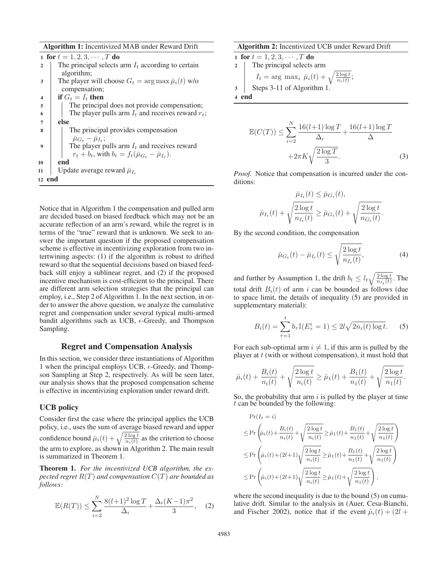Algorithm 1: Incentivized MAB under Reward Drift

|                         | 1 for $t = 1, 2, 3, \cdots, T$ do                                  |
|-------------------------|--------------------------------------------------------------------|
| $\mathbf{2}$            | The principal selects arm $I_t$ according to certain               |
|                         | algorithm;                                                         |
| 3                       | The player will choose $G_t = \arg \max \bar{\mu}_i(t)$ w/o        |
|                         | compensation;                                                      |
| $\overline{\mathbf{4}}$ | if $G_t = I_t$ then                                                |
| 5                       | The principal does not provide compensation;                       |
| 6                       | The player pulls arm $I_t$ and receives reward $r_t$ ;             |
| 7                       | else                                                               |
| 8                       | The principal provides compensation                                |
|                         | $\bar{\mu}_{G_{\star}} - \bar{\mu}_{L_{\star}}$ ;                  |
| $\boldsymbol{Q}$        | The player pulls arm $I_t$ and receives reward                     |
|                         | $r_t + b_t$ , with $b_t = f_t(\bar{\mu}_{G_t} - \bar{\mu}_{I_t}).$ |
| 10                      | end                                                                |
| 11                      | Update average reward $\bar{\mu}_{I_t}$                            |
|                         | 12 end                                                             |
|                         |                                                                    |

Notice that in Algorithm 1 the compensation and pulled arm are decided based on biased feedback which may not be an accurate reflection of an arm's reward, while the regret is in terms of the "true" reward that is unknown. We seek to answer the important question if the proposed compensation scheme is effective in incentivizing exploration from two intertwining aspects: (1) if the algorithm is robust to drifted reward so that the sequential decisions based on biased feedback still enjoy a sublinear regret, and (2) if the proposed incentive mechanism is cost-efficient to the principal. There are different arm selection strategies that the principal can employ, i.e., Step 2 of Algorithm 1. In the next section, in order to answer the above question, we analyze the cumulative regret and compensation under several typical multi-armed bandit algorithms such as UCB,  $\epsilon$ -Greedy, and Thompson<br>Sampling Sampling.

### Regret and Compensation Analysis

In this section, we consider three instantiations of Algorithm 1 when the principal employs UCB,  $\epsilon$ -Greedy, and Thomp-<br>son Sampling at Step 2, respectively. As will be seen later son Sampling at Step 2, respectively. As will be seen later, our analysis shows that the proposed compensation scheme is effective in incentivizing exploration under reward drift.

### UCB policy

Consider first the case where the principal applies the UCB policy, i.e., uses the sum of average biased reward and upper confidence bound  $\bar{\mu}_i(t) + \sqrt{\frac{2 \log t}{n_i(t)}}$  as the criterion to choose the arm to explore, as shown in Algorithm 2. The main result is summarized in Theorem 1.

Theorem 1. *For the incentivized UCB algorithm, the expected regret* R(T) *and compensation* C(T) *are bounded as follows:*

$$
\mathbb{E}(R(T)) \le \sum_{i=2}^{N} \frac{8(l+1)^2 \log T}{\Delta_i} + \frac{\Delta_i (K-1)\pi^2}{3}, \quad (2)
$$

#### Algorithm 2: Incentivized UCB under Reward Drift

1 for 
$$
t = 1, 2, 3, \dots, T
$$
 do  
\n2 The principal selects arm  
\n $I_t = \arg \max_i \bar{\mu}_i(t) + \sqrt{\frac{2 \log t}{n_i(t)}}$ ;  
\n3 Steps 3-11 of Algorithm 1.

$$
\mathbb{E}(C(T)) \le \sum_{i=2}^{N} \frac{16(l+1)\log T}{\Delta_i} + \frac{16(l+1)\log T}{\Delta} + 2\pi K \sqrt{\frac{2\log T}{3}}.
$$
 (3)

*Proof.* Notice that compensation is incurred under the conditions:

$$
\bar{\mu}_{I_t}(t) \leq \bar{\mu}_{G_t}(t),
$$
\n
$$
\bar{\mu}_{I_t}(t) + \sqrt{\frac{2 \log t}{n_{I_t}(t)}} \geq \bar{\mu}_{G_t}(t) + \sqrt{\frac{2 \log t}{n_{G_t}(t)}}
$$

By the second condition, the compensation

$$
\bar{\mu}_{G_t}(t) - \bar{\mu}_{I_t}(t) \le \sqrt{\frac{2\log t}{n_{I_t}(t)}},\tag{4}
$$

and further by Assumption 1, the drift  $b_t \leq l_t \sqrt{\frac{2 \log t}{n_{I_t}(t)}}$ . The total drift  $B_i(t)$  of arm i can be bounded as follows (due to space limit, the details of inequality (5) are provided in supplementary material):

$$
B_i(t) = \sum_{\tau=1}^t b_\tau \mathbb{I}(E_\tau^i = 1) \le 2l \sqrt{2n_i(t) \log t}.
$$
 (5)

For each sub-optimal arm  $i \neq 1$ , if this arm is pulled by the player at  $t$  (with or without compensation), it must hold that

$$
\hat{\mu}_i(t) + \frac{B_i(t)}{n_i(t)} + \sqrt{\frac{2\log t}{n_i(t)}} \ge \hat{\mu}_1(t) + \frac{B_1(t)}{n_1(t)} + \sqrt{\frac{2\log t}{n_1(t)}}.
$$

So, the probability that arm  $i$  is pulled by the player at time  $t$  can be bounded by the following:

$$
\Pr(I_t = i)
$$
\n
$$
\leq \Pr\left(\hat{\mu}_i(t) + \frac{B_i(t)}{n_i(t)} + \sqrt{\frac{2\log t}{n_i(t)}} \geq \hat{\mu}_1(t) + \frac{B_1(t)}{n_1(t)} + \sqrt{\frac{2\log t}{n_1(t)}}\right)
$$
\n
$$
\leq \Pr\left(\hat{\mu}_i(t) + (2l+1)\sqrt{\frac{2\log t}{n_i(t)}} \geq \hat{\mu}_1(t) + \frac{B_1(t)}{n_1(t)} + \sqrt{\frac{2\log t}{n_1(t)}}\right)
$$
\n
$$
\leq \Pr\left(\hat{\mu}_i(t) + (2l+1)\sqrt{\frac{2\log t}{n_i(t)}} \geq \hat{\mu}_1(t) + \sqrt{\frac{2\log t}{n_1(t)}}\right),
$$

where the second inequality is due to the bound  $(5)$  on cumulative drift. Similar to the analysis in (Auer, Cesa-Bianchi, and Fischer 2002), notice that if the event  $\hat{\mu}_i(t) + (2l +$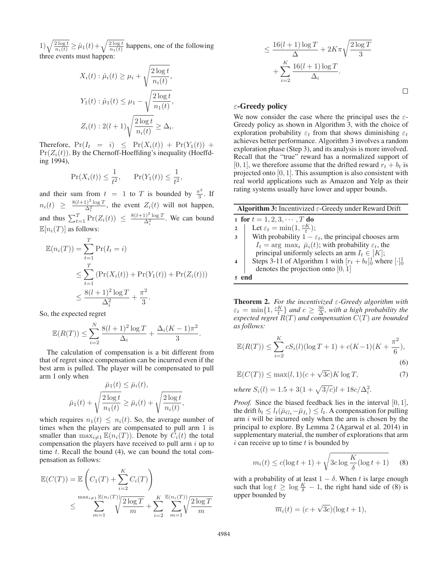$(1)\sqrt{\frac{2\log t}{n_i(t)}} \geq \hat{\mu}_1(t) + \sqrt{\frac{2\log t}{n_1(t)}}$  happens, one of the following three events must happen:

$$
X_i(t) : \hat{\mu}_i(t) \ge \mu_i + \sqrt{\frac{2 \log t}{n_i(t)}},
$$
  

$$
Y_1(t) : \hat{\mu}_1(t) \le \mu_1 - \sqrt{\frac{2 \log t}{n_1(t)}},
$$
  

$$
Z_i(t) : 2(l+1)\sqrt{\frac{2 \log t}{n_i(t)}} \ge \Delta_i.
$$

Therefore,  $Pr(I_t = i) \leq Pr(X_i(t)) + Pr(Y_1(t)) +$  $Pr(Z_i(t))$ . By the Chernoff-Hoeffding's inequality (Hoeffding 1994),

$$
\Pr(X_i(t)) \le \frac{1}{t^2}, \qquad \Pr(Y_1(t)) \le \frac{1}{t^2},
$$

and their sum from  $t = 1$  to T is bounded by  $\frac{\pi^2}{3}$  $rac{1}{3}$ . If  $n_i(t) \geq \frac{8(l+1)^2 \log T}{\Delta_i^2}$ , the event  $Z_i(t)$  will not happen, and thus  $\sum_{t=1}^{T} \Pr(Z_i(t)) \leq \frac{8(l+1)^2 \log T}{\Delta_i^2}$ . We can bound  $\mathbb{E}[n_i(T)]$  as follows:

$$
\mathbb{E}(n_i(T)) = \sum_{t=1}^T \Pr(I_t = i) \n\le \sum_{t=1}^T (\Pr(X_i(t)) + \Pr(Y_1(t)) + \Pr(Z_i(t))) \n\le \frac{8(l+1)^2 \log T}{\Delta_i^2} + \frac{\pi^2}{3}.
$$

So, the expected regret

$$
\mathbb{E}(R(T)) \le \sum_{i=2}^{N} \frac{8(l+1)^2 \log T}{\Delta_i} + \frac{\Delta_i (K-1)\pi^2}{3}.
$$

The calculation of compensation is a bit different from that of regret since compensation can be incurred even if the best arm is pulled. The player will be compensated to pull arm 1 only when

$$
\bar{\mu}_1(t) \leq \bar{\mu}_i(t),
$$
  

$$
\bar{\mu}_1(t) + \sqrt{\frac{2 \log t}{n_1(t)}} \geq \bar{\mu}_i(t) + \sqrt{\frac{2 \log t}{n_i(t)}},
$$

which requires  $n_1(t) \leq n_i(t)$ . So, the average number of times when the players are compensated to pull arm 1 is times when the players are compensated to pull arm 1 is smaller than  $\max_{i \neq 1} \mathbb{E}(n_i(T))$ . Denote by  $\dot{C}_i(t)$  the total compensation the players have received to pull arm i up to compensation the players have received to pull arm  $i$  up to time  $t$ . Recall the bound  $(4)$ , we can bound the total compensation as follows:

$$
\mathbb{E}(C(T)) = \mathbb{E}\left(C_1(T) + \sum_{i=2}^K C_i(T)\right)
$$
  

$$
\leq \sum_{m=1}^{\max_{i \neq 1} \mathbb{E}(n_i(T))} \sqrt{\frac{2\log T}{m}} + \sum_{i=2}^K \sum_{m=1}^{\mathbb{E}(n_i(T))} \sqrt{\frac{2\log T}{m}}
$$

$$
\leq \frac{16(l+1)\log T}{\Delta} + 2K\pi \sqrt{\frac{2\log T}{3}}
$$

$$
+ \sum_{i=2}^{K} \frac{16(l+1)\log T}{\Delta_i}.
$$

 $\Box$ 

### ε-Greedy policy

We now consider the case where the principal uses the  $\varepsilon$ -Greedy policy as shown in Algorithm 3, with the choice of exploration probability  $\varepsilon_t$  from that shows diminishing  $\varepsilon_t$ achieves better performance. Algorithm 3 involves a random exploration phase (Step 3), and its analysis is more involved. Recall that the "true" reward has a normalized support of [0, 1], we therefore assume that the drifted reward  $r_t + b_t$  is projected onto [0, 1]. This assumption is also consistent with real world applications such as Amazon and Yelp as their rating systems usually have lower and upper bounds.

| <b>Algorithm 3:</b> Incentivized $\varepsilon$ -Greedy under Reward Drift   |   |  |  |  |  |
|-----------------------------------------------------------------------------|---|--|--|--|--|
| 1 for $t = 1, 2, 3, \cdots, T$ do                                           |   |  |  |  |  |
| Let $\varepsilon_t = \min(1, \frac{cK}{t});$<br>$\mathbf{2}$                |   |  |  |  |  |
| With probability $1 - \varepsilon_t$ , the principal chooses arm            | 3 |  |  |  |  |
| $I_t = \arg \max_i \bar{\mu}_i(t)$ ; with probability $\varepsilon_t$ , the |   |  |  |  |  |
| principal uniformly selects an arm $I_t \in [K]$ ;                          |   |  |  |  |  |
| Steps 3-11 of Algorithm 1 with $[r_t + b_t]_0^1$ where $[\cdot]_0^1$        |   |  |  |  |  |
| denotes the projection onto $[0, 1]$                                        |   |  |  |  |  |
|                                                                             |   |  |  |  |  |

**Theorem 2.** *For the incentivized*  $\varepsilon$ -Greedy algorithm with  $\varepsilon_t = \min\{1, \frac{cK}{r}\}$  and  $c > \frac{36}{r}$  with a high probability the  $\varepsilon_t = \min\{1, \frac{cK}{t}\}$  and  $c \geq \frac{36}{\Delta}$ , with a high probability the expected regret  $R(T)$  and compensation  $C(T)$  are bounded *expected regret* R(T) *and compensation* C(T) *are bounded as follows:*

$$
\mathbb{E}(R(T)) \le \sum_{i=2}^{K} cS_i(l)(\log T + 1) + c(K - 1)(K + \frac{\pi^2}{6}),
$$
\n(6)

$$
\mathbb{E}(C(T)) \le \max(l, 1)(c + \sqrt{3c})K \log T, \tag{7}
$$

*where*  $S_i(l) = 1.5 + 3(1 + \sqrt{3/c})l + 18c/\Delta_i^2$ .

*Proof.* Since the biased feedback lies in the interval [0, 1], the drift  $b_t \leq l_t(\bar{\mu}_{G_t}-\bar{\mu}_{I_t}) \leq l_t$ . A compensation for pulling arm  $i$  will be incurred only when the arm is chosen by the principal to explore. By Lemma 2 (Agarwal et al. 2014) in supplementary material, the number of explorations that arm  $i$  can receive up to time  $t$  is bounded by

$$
m_i(t) \le c(\log t + 1) + \sqrt{3c \log \frac{K}{\delta} (\log t + 1)}
$$
 (8)

with a probability of at least  $1 - \delta$ . When t is large enough such that  $\log t > \log \frac{K}{2} - 1$  the right hand side of (8) is such that  $\log t \geq \log \frac{K}{\delta} - 1$ , the right hand side of (8) is upper bounded by upper bounded by

$$
\overline{m}_i(t) = (c + \sqrt{3c})(\log t + 1),
$$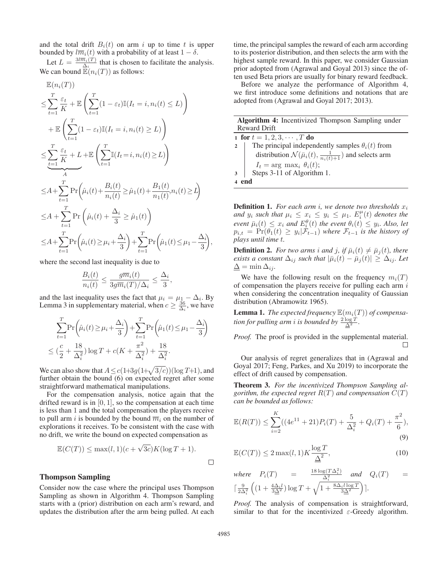and the total drift  $B_i(t)$  on arm i up to time t is upper bounded by  $l\overline{m}_i(t)$  with a probability of at least  $1 - \delta$ .

Let  $L = \frac{3l\overline{m}_i(T)}{\Delta_i}$  that is chosen to facilitate the analysis. We can bound  $\mathbb{E}(n_i(T))$  as follows:

$$
\mathbb{E}(n_i(T))
$$
\n
$$
\leq \sum_{t=1}^T \frac{\varepsilon_t}{K} + \mathbb{E}\left(\sum_{t=1}^T (1 - \varepsilon_t)\mathbb{I}(I_t = i, n_i(t) \leq L)\right)
$$
\n
$$
+ \mathbb{E}\left(\sum_{t=1}^T (1 - \varepsilon_t)\mathbb{I}(I_t = i, n_i(t) \geq L)\right)
$$
\n
$$
\leq \sum_{t=1}^T \frac{\varepsilon_t}{K} + L + \mathbb{E}\left(\sum_{t=1}^T \mathbb{I}(I_t = i, n_i(t) \geq L)\right)
$$
\n
$$
\leq A + \sum_{t=1}^T \Pr\left(\hat{\mu}_i(t) + \frac{B_i(t)}{n_i(t)} \geq \hat{\mu}_1(t) + \frac{B_1(t)}{n_1(t)}, n_i(t) \geq L\right)
$$
\n
$$
\leq A + \sum_{t=1}^T \Pr\left(\hat{\mu}_i(t) + \frac{\Delta_i}{3} \geq \hat{\mu}_1(t)\right)
$$
\n
$$
\leq A + \sum_{t=1}^T \Pr\left(\hat{\mu}_i(t) \geq \mu_i + \frac{\Delta_i}{3}\right) + \sum_{t=1}^T \Pr\left(\hat{\mu}_1(t) \leq \mu_1 - \frac{\Delta_i}{3}\right)
$$

where the second last inequality is due to

$$
\frac{B_i(t)}{n_i(t)} \le \frac{g\overline{m}_i(t)}{3g\overline{m}_i(T)/\Delta_i} \le \frac{\Delta_i}{3},
$$

and the last inequality uses the fact that  $\mu_i = \mu_1 - \Delta_i$ . By Lemma 3 in supplementary material when  $c > \frac{36}{3}$  we have Lemma 3 in supplementary material, when  $c \geq \frac{36}{\Delta_i}$ , we have

$$
\sum_{t=1}^{T} \Pr\left(\hat{\mu}_i(t) \ge \mu_i + \frac{\Delta_i}{3}\right) + \sum_{t=1}^{T} \Pr\left(\hat{\mu}_1(t) \le \mu_1 - \frac{\Delta_i}{3}\right) \n\le (\frac{c}{2} + \frac{18}{\Delta_i^2}) \log T + c(K + \frac{\pi^2}{\Delta_i^2}) + \frac{18}{\Delta_i^2}.
$$

We can also show that  $A \leq c(1+3g(1+\sqrt{3/c}))(\log T+1)$ , and further obtain the bound (6) on expected regret after some straightforward mathematical manipulations.

For the compensation analysis, notice again that the drifted reward is in  $[0, 1]$ , so the compensation at each time is less than 1 and the total compensation the players receive to pull arm i is bounded by the bound  $\overline{m}_i$  on the number of explorations it receives. To be consistent with the case with no drift, we write the bound on expected compensation as

$$
\mathbb{E}(C(T)) \le \max(l, 1)(c + \sqrt{3c})K(\log T + 1).
$$

## Thompson Sampling

Consider now the case where the principal uses Thompson Sampling as shown in Algorithm 4. Thompson Sampling starts with a (prior) distribution on each arm's reward, and updates the distribution after the arm being pulled. At each

time, the principal samples the reward of each arm according to its posterior distribution, and then selects the arm with the highest sample reward. In this paper, we consider Gaussian prior adopted from (Agrawal and Goyal 2013) since the often used Beta priors are usually for binary reward feedback.

Before we analyze the performance of Algorithm 4, we first introduce some definitions and notations that are adopted from (Agrawal and Goyal 2017; 2013).

Algorithm 4: Incentivized Thompson Sampling under Reward Drift

1 for  $t = 1, 2, 3, \cdots, T$  do<br>2 | The principal independent The principal independently samples  $\theta_i(t)$  from distribution  $\mathcal{N}(\bar{\mu}_i(t), \frac{1}{n_i(t)+1})$  and selects arm  $I_t = \arg \max_i \theta_i(t);$ 3 Steps 3-11 of Algorithm 1.

4 end

,

**Definition 1.** *For each arm i, we denote two thresholds*  $x_i$ *and*  $y_i$  *such that*  $\mu_i \leq x_i \leq y_i \leq \mu_1$ .  $E_i^{\mu}(t)$  *denotes the* event  $\bar{u}_i(t) \leq x_i$  and  $E^{\theta}(t)$  the event  $\theta_i(t) \leq y_i$ . Also let *event*  $\bar{\mu}_i(t) \leq x_i$  *and*  $E_i^{\theta}(t)$  *the event*  $\theta_i(t) \leq y_i$ *. Also, let*  $n_{i,t} = \Pr(\theta_i(t) > y_i | \mathcal{F}_{i,t})$  where  $\mathcal{F}_{i,t}$  *is the history of*  $p_{i,t} = \Pr(\theta_1(t) \ge y_i | \mathcal{F}_{t-1})$  where  $\mathcal{F}_{t-1}$  is the history of plays until time t *plays until time* t*.*

**Definition 2.** *For two arms i and j, if*  $\bar{\mu}_i(t) \neq \bar{\mu}_i(t)$ *, there exists a constant*  $\Delta_{ij}$  *such that*  $|\bar{\mu}_i(t) - \bar{\mu}_j(t)| \geq \Delta_{ij}$ *. Let*  $\Delta = \min \Delta_{ij}.$ 

We have the following result on the frequency  $m_i(T)$ of compensation the players receive for pulling each arm  $i$ when considering the concentration inequality of Gaussian distribution (Abramowitz 1965).

**Lemma 1.** *The expected frequency*  $\mathbb{E}(m_i(T))$  *of compensation for pulling arm i is bounded by*  $\frac{2 \log T}{\underline{\Delta}^2}$ .

*Proof.* The proof is provided in the supplemental material.  $\Box$ 

Our analysis of regret generalizes that in (Agrawal and Goyal 2017; Feng, Parkes, and Xu 2019) to incorporate the effect of drift caused by compensation.

Theorem 3. *For the incentivized Thompson Sampling algorithm, the expected regret*  $R(T)$  *and compensation*  $C(T)$ *can be bounded as follows:*

$$
\mathbb{E}(R(T)) \le \sum_{i=2}^{K} ((4e^{11} + 21)P_i(T) + \frac{5}{\Delta_i^2} + Q_i(T) + \frac{\pi^2}{6}),
$$
\n(9)

$$
\mathbb{E}(C(T)) \le 2 \max(l, 1) K \frac{\log T}{\underline{\Delta}^2},\tag{10}
$$

where 
$$
P_i(T) = \frac{18 \log(T \Delta_i^2)}{\Delta_i^2}
$$
 and  $Q_i(T) = \left[\frac{9}{2\Delta_i^2}\left((1 + \frac{4\Delta_i l}{3\Delta^2})\log T + \sqrt{1 + \frac{8\Delta_i l \log T}{3\Delta^2}}\right)\right]$ .

*Proof.* The analysis of compensation is straightforward, similar to that for the incentivized  $\varepsilon$ -Greedy algorithm.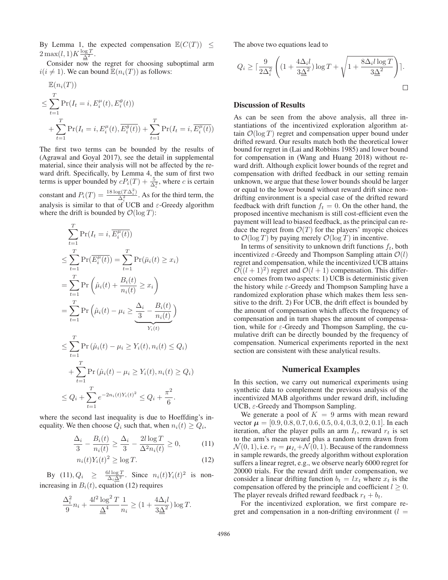By Lemma 1, the expected compensation  $\mathbb{E}(C(T)) \leq$  $2 \max(l, 1) K \frac{\log T}{\Delta^2}.$ <br>Consider now the

Consider now the regret for choosing suboptimal arm  $i(i \neq 1)$ . We can bound  $\mathbb{E}(n_i(T))$  as follows:

$$
\mathbb{E}(n_i(T))
$$
\n
$$
\leq \sum_{t=1}^T \Pr(I_t = i, E_i^{\mu}(t), E_i^{\theta}(t))
$$
\n
$$
+ \sum_{t=1}^T \Pr(I_t = i, E_i^{\mu}(t), \overline{E_i^{\theta}(t)}) + \sum_{t=1}^T \Pr(I_t = i, \overline{E_i^{\mu}(t)})
$$

The first two terms can be bounded by the results of (Agrawal and Goyal 2017), see the detail in supplemental material, since their analysis will not be affected by the reward drift. Specifically, by Lemma 4, the sum of first two terms is upper bounded by  $cP_i(T) + \frac{5}{\Delta_i^2}$ , where c is certain constant and  $P_i(T) = \frac{18 \log(T \Delta_i^2)}{\Delta_i^2}$ . As for the third term, the analysis is similar to that of UCB and  $\varepsilon$ -Greedy algorithm<br>where the drift is bounded by  $\mathcal{O}(\log T)$ . where the drift is bounded by  $\mathcal{O}(\log T)$ :

$$
\sum_{t=1}^{T} \Pr(I_t = i, \overline{E_i^{\mu}(t)})
$$
\n
$$
\leq \sum_{t=1}^{T} \Pr(\overline{E_i^{\mu}(t)}) = \sum_{t=1}^{T} \Pr(\bar{\mu}_i(t) \geq x_i)
$$
\n
$$
= \sum_{t=1}^{T} \Pr\left(\hat{\mu}_i(t) + \frac{B_i(t)}{n_i(t)} \geq x_i\right)
$$
\n
$$
= \sum_{t=1}^{T} \Pr\left(\hat{\mu}_i(t) - \mu_i \geq \frac{\Delta_i}{3} - \frac{B_i(t)}{n_i(t)}\right)
$$
\n
$$
\leq \sum_{t=1}^{T} \Pr(\hat{\mu}_i(t) - \mu_i \geq Y_i(t), n_i(t) \leq Q_i)
$$
\n
$$
+ \sum_{t=1}^{T} \Pr(\hat{\mu}_i(t) - \mu_i \geq Y_i(t), n_i(t) \geq Q_i)
$$
\n
$$
\leq Q_i + \sum_{t=1}^{T} e^{-2n_i(t)Y_i(t)^2} \leq Q_i + \frac{\pi^2}{6}.
$$

where the second last inequality is due to Hoeffding's inequality. We then choose  $Q_i$  such that, when  $n_i(t) \geq Q_i$ ,

$$
\frac{\Delta_i}{3} - \frac{B_i(t)}{n_i(t)} \ge \frac{\Delta_i}{3} - \frac{2l \log T}{\Delta^2 n_i(t)} \ge 0,
$$
\n(11)

$$
n_i(t)Y_i(t)^2 \ge \log T. \tag{12}
$$

By  $(11), Q_i \geq \frac{6l \log T}{\Delta_i \Delta^2}$ . Since  $n_i(t)Y_i(t)^2$  is nonincreasing in  $B_i(t)$ , equation (12) requires

$$
\frac{\Delta_i^2}{9}n_i + \frac{4l^2\log^2 T}{\underline{\Delta}^4} \frac{1}{n_i} \ge (1 + \frac{4\Delta_i l}{3\underline{\Delta}^2})\log T.
$$

The above two equations lead to

$$
Q_i \ge \lceil \frac{9}{2\Delta_i^2} \left( (1 + \frac{4\Delta_i l}{3\Delta^2}) \log T + \sqrt{1 + \frac{8\Delta_i l \log T}{3\Delta^2}} \right) \rceil.
$$

## Discussion of Results

As can be seen from the above analysis, all three instantiations of the incentivized exploration algorithm attain  $\mathcal{O}(\log T)$  regret and compensation upper bound under drifted reward. Our results match both the theoretical lower bound for regret in (Lai and Robbins 1985) and lower bound for compensation in (Wang and Huang 2018) without reward drift. Although explicit lower bounds of the regret and compensation with drifted feedback in our setting remain unknown, we argue that these lower bounds should be larger or equal to the lower bound without reward drift since nondrifting environment is a special case of the drifted reward feedback with drift function  $f_t = 0$ . On the other hand, the proposed incentive mechanism is still cost-efficient even the payment will lead to biased feedback, as the principal can reduce the regret from  $\mathcal{O}(T)$  for the players' myopic choices to  $\mathcal{O}(\log T)$  by paying merely  $\mathcal{O}(\log T)$  in incentive.

In terms of sensitivity to unknown drift functions  $f_t$ , both incentivized  $\varepsilon$ -Greedy and Thompson Sampling attain  $\mathcal{O}(l)$ regret and compensation, while the incentivized UCB attains  $\mathcal{O}((l+1)^2)$  regret and  $\mathcal{O}(l+1)$  compensation. This difference comes from two aspects: 1) UCB is deterministic given the history while  $\varepsilon$ -Greedy and Thompson Sampling have a randomized exploration phase which makes them less sensitive to the drift. 2) For UCB, the drift effect is bounded by the amount of compensation which affects the frequency of compensation and in turn shapes the amount of compensation, while for  $\varepsilon$ -Greedy and Thompson Sampling, the cumulative drift can be directly bounded by the frequency of compensation. Numerical experiments reported in the next section are consistent with these analytical results.

### Numerical Examples

In this section, we carry out numerical experiments using synthetic data to complement the previous analysis of the incentivized MAB algorithms under reward drift, including UCB,  $\varepsilon$ -Greedy and Thompson Sampling.

We generate a pool of  $K = 9$  arms with mean reward vector  $\mu = [0.9, 0.8, 0.7, 0.6, 0.5, 0.4, 0.3, 0.2, 0.1]$ . In each iteration, after the player pulls an arm  $I_t$ , reward  $r_t$  is set to the arm's mean reward plus a random term drawn from  $\mathcal{N}(0, 1)$ , i.e.  $r_t = \mu_{I_t} + \mathcal{N}(0, 1)$ . Because of the randomness in sample rewards, the greedy algorithm without exploration suffers a linear regret, e.g., we observe nearly 6000 regret for 20000 trials. For the reward drift under compensation, we consider a linear drifting function  $b_t = lx_t$  where  $x_t$  is the compensation offered by the principle and coefficient  $l \geq 0$ . The player reveals drifted reward feedback  $r_t + b_t$ .

For the incentivized exploration, we first compare regret and compensation in a non-drifting environment  $(l =$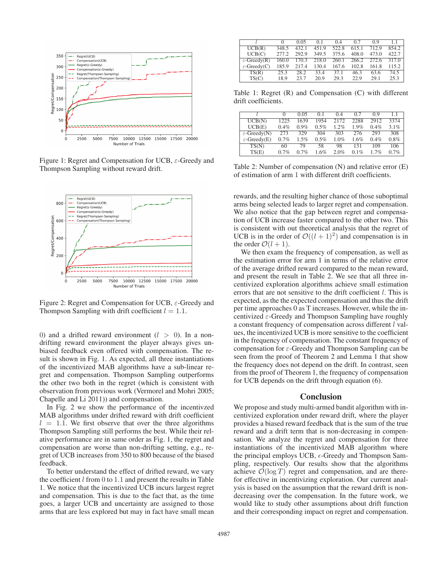

Figure 1: Regret and Compensation for UCB, ε-Greedy and Thompson Sampling without reward drift.



Figure 2: Regret and Compensation for UCB,  $\varepsilon$ -Greedy and Thompson Sampling with drift coefficient  $l = 1.1$ .

0) and a drifted reward environment  $(l > 0)$ . In a nondrifting reward environment the player always gives unbiased feedback even offered with compensation. The result is shown in Fig. 1. As expected, all three instantiations of the incentivized MAB algorithms have a sub-linear regret and compensation. Thompson Sampling outperforms the other two both in the regret (which is consistent with observation from previous work (Vermorel and Mohri 2005; Chapelle and Li 2011)) and compensation.

In Fig. 2 we show the performance of the incentivzed MAB algorithms under drifted reward with drift coefficient  $l = 1.1$ . We first observe that over the three algorithms Thompson Sampling still performs the best. While their relative performance are in same order as Fig. 1, the regret and compensation are worse than non-drifting setting, e.g., regret of UCB increases from 350 to 800 because of the biased feedback.

To better understand the effect of drifted reward, we vary the coefficient  $l$  from 0 to 1.1 and present the results in Table 1. We notice that the incentivized UCB incurs largest regret and compensation. This is due to the fact that, as the time goes, a larger UCB and uncertainty are assigned to those arms that are less explored but may in fact have small mean

|                          |       | 0.05  | 0 <sub>1</sub> | 0.4   | 0.7   | 09    |       |
|--------------------------|-------|-------|----------------|-------|-------|-------|-------|
| UCB(R)                   | 348.5 | 432.1 | 451.9          | 522.8 | 615.1 | 712.9 | 854.2 |
| UCB(C)                   | 277.2 | 292.9 | 349.5          | 375.6 | 408.0 | 473.0 | 422.7 |
| $\varepsilon$ -Greedy(R) | 160.0 | 170.3 | 218.0          | 260.1 | 266.2 | 272.6 | 3170  |
| $\varepsilon$ -Greedy(C) | 185.9 | 217.4 | 130.4          | 167.6 | 102.8 | 161.8 | 115.2 |
| TS(R)                    | 25.3  | 28.2  | 33.4           | 37.1  | 46.3  | 63.6  | 74.5  |
| TS(C)                    | 18.9  | 237   | 20.9           | 29.3  | 22.9  | 29.1  | 25.3  |

Table 1: Regret (R) and Compensation (C) with different drift coefficients.

|                          |         | 0.05    | 0.1     | 0.4     | 0.7  | 0.9     | 11   |
|--------------------------|---------|---------|---------|---------|------|---------|------|
| UCB(N)                   | 1225    | 1639    | 1954    | 2172    | 2288 | 2912    | 3374 |
| UCB(E)                   | $0.4\%$ | $0.9\%$ | $0.5\%$ | $1.2\%$ | 1.9% | $0.4\%$ | 3.1% |
| $\varepsilon$ -Greedy(N) | 273     | 329     | 304     | 303     | 276  | 293     | 308  |
| $\varepsilon$ -Greedy(E) | $0.7\%$ | $1.5\%$ | $0.5\%$ | $1.0\%$ | 1.6% | $0.4\%$ | 0.8% |
| TS(N)                    | 60      | 79      | 58      | 98      | 131  | 109     | 106  |
| TS(E)                    | 0.7%    | 0.7%    | 16%     | 2.0%    | 0.1% | 1.7%    | 0.7% |

Table 2: Number of compensation (N) and relative error (E) of estimation of arm 1 with different drift coefficients.

rewards, and the resulting higher chance of those suboptimal arms being selected leads to larger regret and compensation. We also notice that the gap between regret and compensation of UCB increase faster compared to the other two. This is consistent with out theoretical analysis that the regret of UCB is in the order of  $\mathcal{O}((l + 1)^2)$  and compensation is in the order  $\mathcal{O}(l + 1)$ .

We then exam the frequency of compensation, as well as the estimation error for arm 1 in terms of the relative error of the average drifted reward compared to the mean reward, and present the result in Table 2. We see that all three incentivized exploration algorithms achieve small estimation errors that are not sensitive to the drift coefficient  $l$ . This is expected, as the the expected compensation and thus the drift per time approaches 0 as T increases. However, while the incentivized  $\varepsilon$ -Greedy and Thompson Sampling have roughly a constant frequency of compensation across different l values, the incentivized UCB is more sensitive to the coefficient in the frequency of compensation. The constant frequency of compensation for  $\varepsilon$ -Greedy and Thompson Sampling can be seen from the proof of Theorem 2 and Lemma 1 that show the frequency does not depend on the drift. In contrast, seen from the proof of Theorem 1, the frequency of compensation for UCB depends on the drift through equation (6).

#### Conclusion

We propose and study multi-armed bandit algorithm with incentivized exploration under reward drift, where the player provides a biased reward feedback that is the sum of the true reward and a drift term that is non-decreasing in compensation. We analyze the regret and compensation for three instantiations of the incentivized MAB algorithm where the principal employs UCB,  $\epsilon$ -Greedy and Thompson Sam-<br>pling respectively. Our results show that the algorithms pling, respectively. Our results show that the algorithms achieve  $\mathcal{O}(\log T)$  regret and compensation, and are therefor effective in incentivizing exploration. Our current analysis is based on the assumption that the reward drift is nondecreasing over the compensation. In the future work, we would like to study other assumptions about drift function and their corresponding impact on regret and compensation.